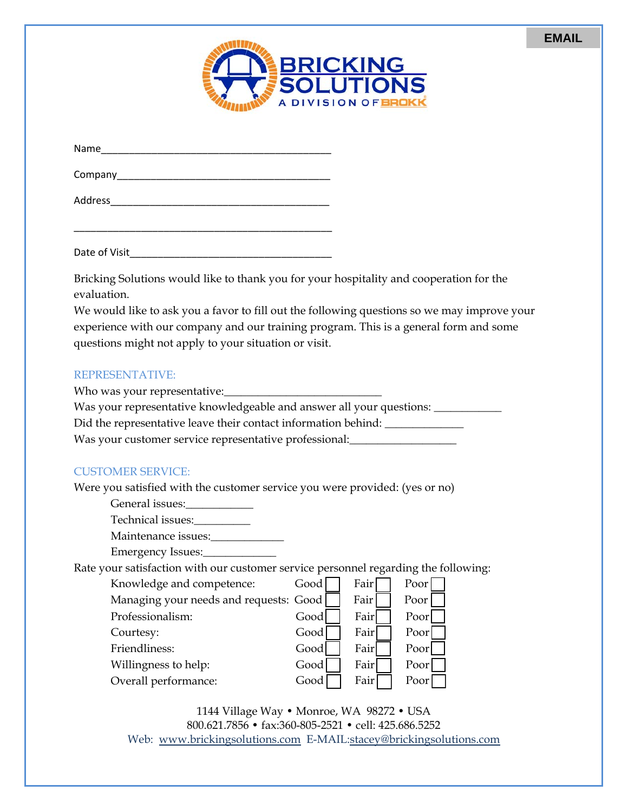| <b>NEBRICKING</b> |
|-------------------|
| <b>SOLUTIONS</b>  |
| A DIVISION OF BRO |

| Name    |  |  |  |
|---------|--|--|--|
| Company |  |  |  |
| Address |  |  |  |

Date of Visit

\_\_\_\_\_\_\_\_\_\_\_\_\_\_\_\_\_\_\_\_\_\_\_\_\_\_\_\_\_\_\_\_\_\_\_\_\_\_\_\_\_\_\_\_\_\_

Bricking Solutions would like to thank you for your hospitality and cooperation for the evaluation.

We would like to ask you a favor to fill out the following questions so we may improve your experience with our company and our training program. This is a general form and some questions might not apply to your situation or visit.

## REPRESENTATIVE:

Who was your representative:

Was your representative knowledgeable and answer all your questions: \_\_\_\_\_\_\_\_\_\_\_

Did the representative leave their contact information behind: \_\_\_\_\_\_\_\_\_\_\_\_\_\_\_\_\_

Was your customer service representative professional:

## CUSTOMER SERVICE:

Were you satisfied with the customer service you were provided: (yes or no)

General issues:\_\_\_\_\_\_\_\_\_\_\_\_

Technical issues:

Maintenance issues:

Emergency Issues:\_\_\_\_\_\_\_\_\_\_\_\_\_

Rate your satisfaction with our customer service personnel regarding the following:  $K$ nowledge and competence:  $C \circ \overrightarrow{C}$ 

| Knowledge and competence:              | Good I | Fair  | Poor |
|----------------------------------------|--------|-------|------|
| Managing your needs and requests: Good |        | Fair  | Poor |
| Professionalism:                       | Good   | Fair  | Poor |
| Courtesy:                              | Good   | Fair  | Poor |
| Friendliness:                          | Good   | Fair  | Poor |
| Willingness to help:                   | Good   | Fairl | Poor |
| Overall performance:                   | Good   | Fair  | Poor |

1144 Village Way • Monroe, WA 98272 • USA 800.621.7856 • fax:360-805-2521 • cell: 425.686.5252 Web: www.brickingsolutions.com E-MAIL:stacey@brickingsolutions.com